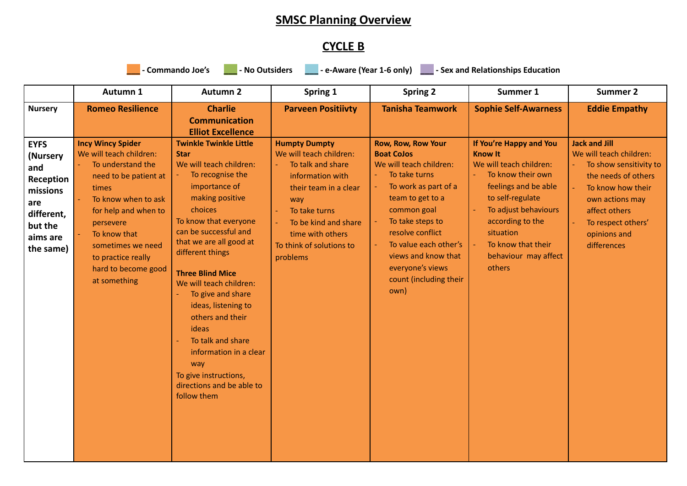## **SMSC Planning Overview**

## **CYCLE B**

commando Joe's <u>International</u> - No Outsiders **No. 2016 - Let an American Channel Accord Paris Commando Joe's Internation** 

|                                                                                                                  | Autumn 1                                                                                                                                                                                                                                                                 | <b>Autumn 2</b>                                                                                                                                                                                                                                                                                                                                                                                                                                                                                       | Spring 1                                                                                                                                                                                                                      | <b>Spring 2</b>                                                                                                                                                                                                                                                                                     | Summer 1                                                                                                                                                                                                                                                                   | <b>Summer 2</b>                                                                                                                                                                                                |
|------------------------------------------------------------------------------------------------------------------|--------------------------------------------------------------------------------------------------------------------------------------------------------------------------------------------------------------------------------------------------------------------------|-------------------------------------------------------------------------------------------------------------------------------------------------------------------------------------------------------------------------------------------------------------------------------------------------------------------------------------------------------------------------------------------------------------------------------------------------------------------------------------------------------|-------------------------------------------------------------------------------------------------------------------------------------------------------------------------------------------------------------------------------|-----------------------------------------------------------------------------------------------------------------------------------------------------------------------------------------------------------------------------------------------------------------------------------------------------|----------------------------------------------------------------------------------------------------------------------------------------------------------------------------------------------------------------------------------------------------------------------------|----------------------------------------------------------------------------------------------------------------------------------------------------------------------------------------------------------------|
| <b>Nursery</b>                                                                                                   | <b>Romeo Resilience</b>                                                                                                                                                                                                                                                  | <b>Charlie</b>                                                                                                                                                                                                                                                                                                                                                                                                                                                                                        | <b>Parveen Positiivty</b>                                                                                                                                                                                                     | <b>Tanisha Teamwork</b>                                                                                                                                                                                                                                                                             | <b>Sophie Self-Awarness</b>                                                                                                                                                                                                                                                | <b>Eddie Empathy</b>                                                                                                                                                                                           |
|                                                                                                                  |                                                                                                                                                                                                                                                                          | <b>Communication</b><br><b>Elliot Excellence</b>                                                                                                                                                                                                                                                                                                                                                                                                                                                      |                                                                                                                                                                                                                               |                                                                                                                                                                                                                                                                                                     |                                                                                                                                                                                                                                                                            |                                                                                                                                                                                                                |
| <b>EYFS</b><br>(Nursery<br>and<br>Reception<br>missions<br>are<br>different,<br>but the<br>aims are<br>the same) | <b>Incy Wincy Spider</b><br>We will teach children:<br>To understand the<br>need to be patient at<br>times<br>To know when to ask<br>for help and when to<br>persevere<br>To know that<br>sometimes we need<br>to practice really<br>hard to become good<br>at something | <b>Twinkle Twinkle Little</b><br><b>Star</b><br>We will teach children:<br>To recognise the<br>importance of<br>making positive<br>choices<br>To know that everyone<br>can be successful and<br>that we are all good at<br>different things<br><b>Three Blind Mice</b><br>We will teach children:<br>To give and share<br>ideas, listening to<br>others and their<br>ideas<br>To talk and share<br>information in a clear<br>way<br>To give instructions,<br>directions and be able to<br>follow them | <b>Humpty Dumpty</b><br>We will teach children:<br>To talk and share<br>information with<br>their team in a clear<br>way<br>To take turns<br>To be kind and share<br>time with others<br>To think of solutions to<br>problems | <b>Row, Row, Row Your</b><br><b>Boat CoJos</b><br>We will teach children:<br>To take turns<br>To work as part of a<br>team to get to a<br>common goal<br>To take steps to<br>resolve conflict<br>To value each other's<br>views and know that<br>everyone's views<br>count (including their<br>own) | If You're Happy and You<br><b>Know It</b><br>We will teach children:<br>To know their own<br>$\omega_{\rm c}$<br>feelings and be able<br>to self-regulate<br>To adjust behaviours<br>according to the<br>situation<br>To know that their<br>behaviour may affect<br>others | <b>Jack and Jill</b><br>We will teach children:<br>To show sensitivity to<br>the needs of others<br>To know how their<br>own actions may<br>affect others<br>To respect others'<br>opinions and<br>differences |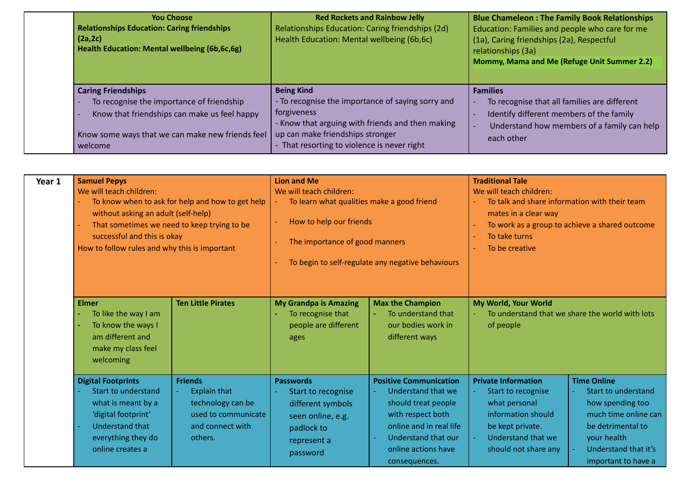| <b>You Choose</b><br><b>Relationships Education: Caring friendships</b><br>(2a, 2c)<br>Health Education: Mental wellbeing (6b,6c,6g)                                                  | <b>Red Rockets and Rainbow Jelly</b><br>Relationships Education: Caring friendships (2d)<br>Health Education: Mental wellbeing (6b,6c)                                                                                       | <b>Blue Chameleon: The Family Book Relationships</b><br>Education: Families and people who care for me<br>(1a), Caring friendships (2a), Respectful<br>relationships (3a)<br>Mommy, Mama and Me (Refuge Unit Summer 2.2) |
|---------------------------------------------------------------------------------------------------------------------------------------------------------------------------------------|------------------------------------------------------------------------------------------------------------------------------------------------------------------------------------------------------------------------------|--------------------------------------------------------------------------------------------------------------------------------------------------------------------------------------------------------------------------|
| <b>Caring Friendships</b><br>To recognise the importance of friendship<br>Know that friendships can make us feel happy<br>Know some ways that we can make new friends feel<br>welcome | <b>Being Kind</b><br>- To recognise the importance of saying sorry and<br>forgiveness<br>- Know that arguing with friends and then making<br>up can make friendships stronger<br>- That resorting to violence is never right | <b>Families</b><br>To recognise that all families are different<br>Identify different members of the family<br>Understand how members of a family can help<br>each other                                                 |

| Year 1 | <b>Samuel Pepys</b><br>We will teach children:<br>without asking an adult (self-help)<br>successful and this is okay<br>How to follow rules and why this is important    | To know when to ask for help and how to get help<br>That sometimes we need to keep trying to be                  | <b>Lion and Me</b><br>We will teach children:<br>To learn what qualities make a good friend<br>How to help our friends<br>The importance of good manners | To begin to self-regulate any negative behaviours                                                                                                                                         | <b>Traditional Tale</b><br>We will teach children:<br>To talk and share information with their team<br>mates in a clear way<br>To take turns<br>To be creative | To work as a group to achieve a shared outcome                                                                                                                           |
|--------|--------------------------------------------------------------------------------------------------------------------------------------------------------------------------|------------------------------------------------------------------------------------------------------------------|----------------------------------------------------------------------------------------------------------------------------------------------------------|-------------------------------------------------------------------------------------------------------------------------------------------------------------------------------------------|----------------------------------------------------------------------------------------------------------------------------------------------------------------|--------------------------------------------------------------------------------------------------------------------------------------------------------------------------|
|        | <b>Elmer</b><br>To like the way I am<br>To know the ways I<br>am different and<br>make my class feel<br>welcoming                                                        | <b>Ten Little Pirates</b>                                                                                        | <b>My Grandpa is Amazing</b><br>To recognise that<br>people are different<br>ages                                                                        | <b>Max the Champion</b><br>To understand that<br>our bodies work in<br>different ways                                                                                                     | My World, Your World<br>of people                                                                                                                              | To understand that we share the world with lots                                                                                                                          |
|        | <b>Digital Footprints</b><br><b>Start to understand</b><br>what is meant by a<br>'digital footprint'<br><b>Understand that</b><br>everything they do<br>online creates a | <b>Friends</b><br><b>Explain that</b><br>technology can be<br>used to communicate<br>and connect with<br>others. | <b>Passwords</b><br>Start to recognise<br>different symbols<br>seen online, e.g.<br>padlock to<br>represent a<br>password                                | <b>Positive Communication</b><br>Understand that we<br>should treat people<br>with respect both<br>online and in real life<br>Understand that our<br>online actions have<br>consequences. | <b>Private Information</b><br>Start to recognise<br>what personal<br>information should<br>be kept private.<br>Understand that we<br>should not share any      | <b>Time Online</b><br>Start to understand<br>how spending too<br>much time online can<br>be detrimental to<br>your health<br>Understand that it's<br>important to have a |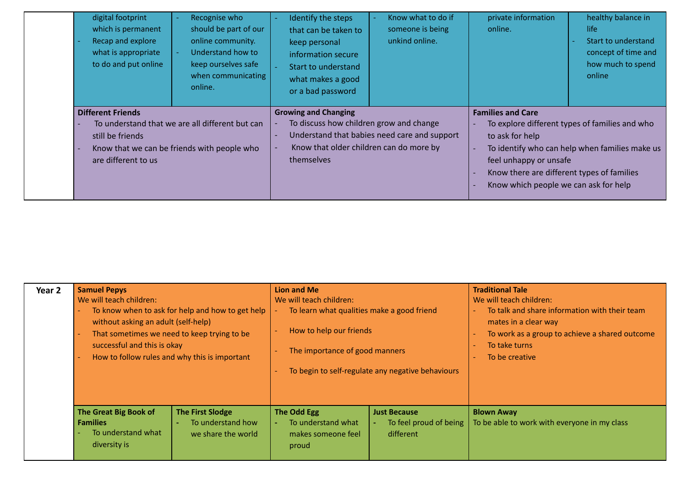| digital footprint<br>which is permanent<br>Recap and explore<br>what is appropriate<br>to do and put online | Recognise who<br>should be part of our<br>online community.<br>Understand how to<br>keep ourselves safe<br>when communicating<br>online. | Identify the steps<br>that can be taken to<br>keep personal<br>information secure<br>Start to understand<br>what makes a good<br>or a bad password | Know what to do if<br>someone is being<br>unkind online. | private information<br>online.                                                                                                                               | healthy balance in<br>life<br>Start to understand<br>concept of time and<br>how much to spend<br>online |
|-------------------------------------------------------------------------------------------------------------|------------------------------------------------------------------------------------------------------------------------------------------|----------------------------------------------------------------------------------------------------------------------------------------------------|----------------------------------------------------------|--------------------------------------------------------------------------------------------------------------------------------------------------------------|---------------------------------------------------------------------------------------------------------|
| <b>Different Friends</b><br>still be friends<br>are different to us                                         | To understand that we are all different but can<br>Know that we can be friends with people who                                           | <b>Growing and Changing</b><br>To discuss how children grow and change<br>Know that older children can do more by<br>themselves                    | Understand that babies need care and support             | <b>Families and Care</b><br>to ask for help<br>feel unhappy or unsafe<br>Know there are different types of families<br>Know which people we can ask for help | To explore different types of families and who<br>To identify who can help when families make us        |

| Year 2 | <b>Samuel Pepys</b><br>We will teach children:<br>without asking an adult (self-help)<br>That sometimes we need to keep trying to be<br>successful and this is okay<br>How to follow rules and why this is important | To know when to ask for help and how to get help                   | <b>Lion and Me</b><br>We will teach children:<br>To learn what qualities make a good friend<br>How to help our friends<br>The importance of good manners<br>To begin to self-regulate any negative behaviours |                                                                 | <b>Traditional Tale</b><br>We will teach children:<br>To talk and share information with their team<br>mates in a clear way<br>To work as a group to achieve a shared outcome<br>To take turns<br>To be creative |
|--------|----------------------------------------------------------------------------------------------------------------------------------------------------------------------------------------------------------------------|--------------------------------------------------------------------|---------------------------------------------------------------------------------------------------------------------------------------------------------------------------------------------------------------|-----------------------------------------------------------------|------------------------------------------------------------------------------------------------------------------------------------------------------------------------------------------------------------------|
|        | The Great Big Book of<br><b>Families</b><br>To understand what<br>diversity is                                                                                                                                       | <b>The First Slodge</b><br>To understand how<br>we share the world | <b>The Odd Egg</b><br>To understand what<br>makes someone feel<br>proud                                                                                                                                       | <b>Just Because</b><br>To feel proud of being<br>٠<br>different | <b>Blown Away</b><br>To be able to work with everyone in my class                                                                                                                                                |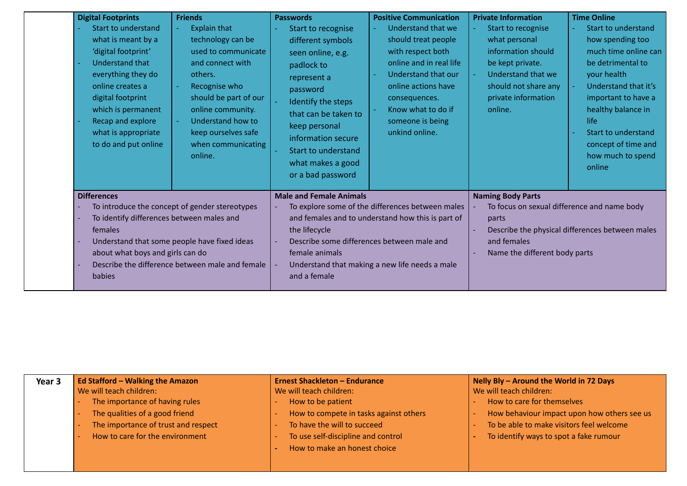| <b>Digital Footprints</b><br>Start to understand<br>what is meant by a<br>'digital footprint'<br>Understand that<br>everything they do<br>online creates a | <b>Friends</b><br><b>Explain that</b><br>technology can be<br>used to communicate<br>and connect with<br>others.<br>Recognise who | <b>Passwords</b><br>Start to recognise<br>different symbols<br>seen online, e.g.<br>padlock to<br>represent a<br>password                          | <b>Positive Communication</b><br>Understand that we<br>should treat people<br>with respect both<br>online and in real life<br>Understand that our<br>online actions have | <b>Private Information</b><br>Start to recognise<br>what personal<br>information should<br>be kept private.<br>Understand that we<br>should not share any | <b>Time Online</b><br>Start to understand<br>how spending too<br>much time online can<br>be detrimental to<br>your health<br>Understand that it's |
|------------------------------------------------------------------------------------------------------------------------------------------------------------|-----------------------------------------------------------------------------------------------------------------------------------|----------------------------------------------------------------------------------------------------------------------------------------------------|--------------------------------------------------------------------------------------------------------------------------------------------------------------------------|-----------------------------------------------------------------------------------------------------------------------------------------------------------|---------------------------------------------------------------------------------------------------------------------------------------------------|
| digital footprint<br>which is permanent<br>Recap and explore<br>what is appropriate<br>to do and put online                                                | should be part of our<br>online community.<br>Understand how to<br>keep ourselves safe<br>when communicating<br>online.           | Identify the steps<br>that can be taken to<br>keep personal<br>information secure<br>Start to understand<br>what makes a good<br>or a bad password | consequences.<br>Know what to do if<br>someone is being<br>unkind online.                                                                                                | private information<br>online.                                                                                                                            | important to have a<br>healthy balance in<br>life<br>Start to understand<br>concept of time and<br>how much to spend<br>online                    |
| <b>Differences</b>                                                                                                                                         |                                                                                                                                   | <b>Male and Female Animals</b>                                                                                                                     |                                                                                                                                                                          | <b>Naming Body Parts</b>                                                                                                                                  |                                                                                                                                                   |
|                                                                                                                                                            | To introduce the concept of gender stereotypes<br>To identify differences between males and                                       |                                                                                                                                                    | To explore some of the differences between males<br>and females and to understand how this is part of                                                                    | To focus on sexual difference and name body<br>parts                                                                                                      |                                                                                                                                                   |
| females                                                                                                                                                    |                                                                                                                                   |                                                                                                                                                    |                                                                                                                                                                          |                                                                                                                                                           | Describe the physical differences between males                                                                                                   |
|                                                                                                                                                            | Understand that some people have fixed ideas<br>about what boys and girls can do                                                  |                                                                                                                                                    | Describe some differences between male and                                                                                                                               | and females<br>Name the different body parts                                                                                                              |                                                                                                                                                   |
| <b>babies</b>                                                                                                                                              | Describe the difference between male and female                                                                                   | female animals<br>and a female                                                                                                                     | Understand that making a new life needs a male                                                                                                                           |                                                                                                                                                           |                                                                                                                                                   |

| Year 3 | <b>Ed Stafford - Walking the Amazon</b> | <b>Ernest Shackleton - Endurance</b>   | Nelly Bly - Around the World in 72 Days     |
|--------|-----------------------------------------|----------------------------------------|---------------------------------------------|
|        | We will teach children:                 | We will teach children:                | We will teach children:                     |
|        | The importance of having rules          | How to be patient                      | How to care for themselves                  |
|        | The qualities of a good friend          | How to compete in tasks against others | How behaviour impact upon how others see us |
|        | The importance of trust and respect     | To have the will to succeed            | To be able to make visitors feel welcome    |
|        | How to care for the environment         | To use self-discipline and control     | To identify ways to spot a fake rumour      |
|        |                                         | How to make an honest choice           |                                             |
|        |                                         |                                        |                                             |
|        |                                         |                                        |                                             |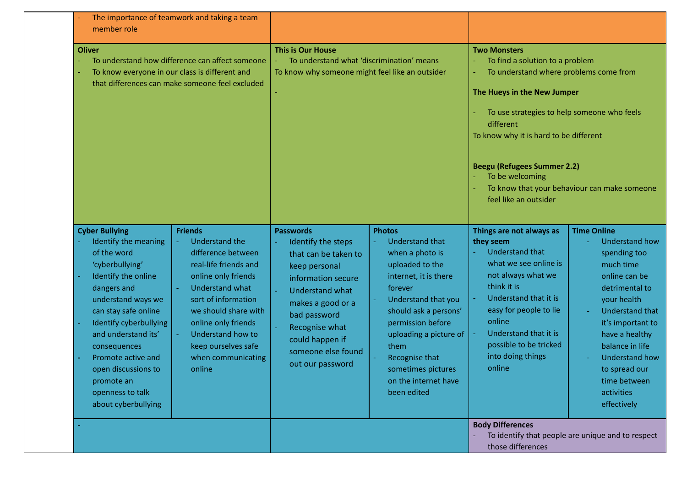| The importance of teamwork and taking a team<br>member role                                                                                                                                                                                                                                                                                                                                                                                                                                                                                                                                                                             |                                                                                                                                                                                                                                                                                                                                                                                                                                                                                                                                                                |                                                                                                                                                                                                                                                                                                                                                                                                                                                                                                                                                                                       |  |
|-----------------------------------------------------------------------------------------------------------------------------------------------------------------------------------------------------------------------------------------------------------------------------------------------------------------------------------------------------------------------------------------------------------------------------------------------------------------------------------------------------------------------------------------------------------------------------------------------------------------------------------------|----------------------------------------------------------------------------------------------------------------------------------------------------------------------------------------------------------------------------------------------------------------------------------------------------------------------------------------------------------------------------------------------------------------------------------------------------------------------------------------------------------------------------------------------------------------|---------------------------------------------------------------------------------------------------------------------------------------------------------------------------------------------------------------------------------------------------------------------------------------------------------------------------------------------------------------------------------------------------------------------------------------------------------------------------------------------------------------------------------------------------------------------------------------|--|
| <b>Oliver</b><br>To understand how difference can affect someone<br>To know everyone in our class is different and<br>that differences can make someone feel excluded                                                                                                                                                                                                                                                                                                                                                                                                                                                                   | <b>This is Our House</b><br>To understand what 'discrimination' means<br>To know why someone might feel like an outsider                                                                                                                                                                                                                                                                                                                                                                                                                                       | <b>Two Monsters</b><br>To find a solution to a problem<br>To understand where problems come from<br>The Hueys in the New Jumper<br>To use strategies to help someone who feels<br>different<br>To know why it is hard to be different<br><b>Beegu (Refugees Summer 2.2)</b><br>To be welcoming<br>To know that your behaviour can make someone<br>feel like an outsider                                                                                                                                                                                                               |  |
| <b>Friends</b><br><b>Cyber Bullying</b><br>Identify the meaning<br><b>Understand the</b><br>of the word<br>difference between<br>'cyberbullying'<br>real-life friends and<br>Identify the online<br>online only friends<br>dangers and<br><b>Understand what</b><br>understand ways we<br>sort of information<br>can stay safe online<br>we should share with<br>Identify cyberbullying<br>online only friends<br>and understand its'<br>Understand how to<br>keep ourselves safe<br>consequences<br>when communicating<br>Promote active and<br>open discussions to<br>online<br>promote an<br>openness to talk<br>about cyberbullying | <b>Photos</b><br><b>Passwords</b><br><b>Understand that</b><br>Identify the steps<br>when a photo is<br>that can be taken to<br>uploaded to the<br>keep personal<br>internet, it is there<br>information secure<br>forever<br><b>Understand what</b><br>Understand that you<br>makes a good or a<br>should ask a persons'<br>bad password<br>permission before<br>Recognise what<br>uploading a picture of<br>could happen if<br>them<br>someone else found<br>Recognise that<br>out our password<br>sometimes pictures<br>on the internet have<br>been edited | <b>Time Online</b><br>Things are not always as<br><b>Understand how</b><br>they seem<br><b>Understand that</b><br>spending too<br>what we see online is<br>much time<br>not always what we<br>online can be<br>think it is<br>detrimental to<br>Understand that it is<br>your health<br>easy for people to lie<br><b>Understand that</b><br>online<br>it's important to<br>Understand that it is<br>have a healthy<br>possible to be tricked<br>balance in life<br>into doing things<br><b>Understand how</b><br>online<br>to spread our<br>time between<br>activities<br>effectively |  |
|                                                                                                                                                                                                                                                                                                                                                                                                                                                                                                                                                                                                                                         |                                                                                                                                                                                                                                                                                                                                                                                                                                                                                                                                                                | <b>Body Differences</b><br>To identify that people are unique and to respect<br>those differences                                                                                                                                                                                                                                                                                                                                                                                                                                                                                     |  |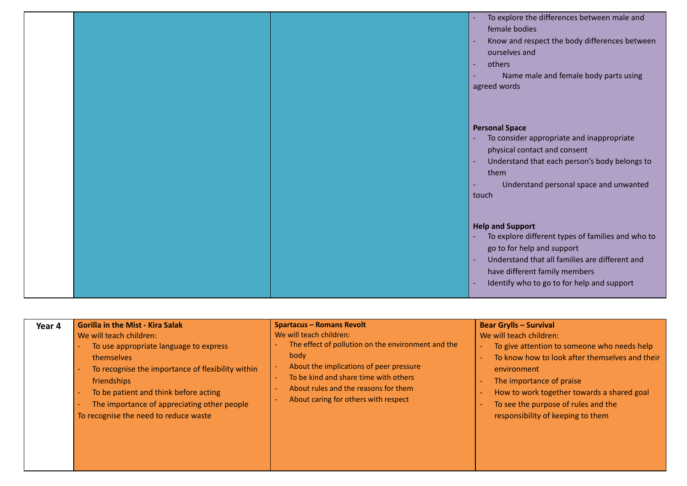|  | To explore the differences between male and<br>female bodies<br>Know and respect the body differences between<br>ourselves and<br>others<br>Name male and female body parts using<br>agreed words                                           |
|--|---------------------------------------------------------------------------------------------------------------------------------------------------------------------------------------------------------------------------------------------|
|  | <b>Personal Space</b><br>To consider appropriate and inappropriate<br>physical contact and consent<br>Understand that each person's body belongs to<br>them<br>Understand personal space and unwanted<br>touch                              |
|  | <b>Help and Support</b><br>To explore different types of families and who to<br>go to for help and support<br>Understand that all families are different and<br>have different family members<br>Identify who to go to for help and support |

| Year 4 | <b>Gorilla in the Mist - Kira Salak</b>                                                                                                                                                                                                                                              | <b>Spartacus - Romans Revolt</b>                                                                                                                                                                                                                          | <b>Bear Grylls - Survival</b>                                                                                                                                                                                                                                                                 |
|--------|--------------------------------------------------------------------------------------------------------------------------------------------------------------------------------------------------------------------------------------------------------------------------------------|-----------------------------------------------------------------------------------------------------------------------------------------------------------------------------------------------------------------------------------------------------------|-----------------------------------------------------------------------------------------------------------------------------------------------------------------------------------------------------------------------------------------------------------------------------------------------|
|        | We will teach children:<br>To use appropriate language to express<br>themselves<br>To recognise the importance of flexibility within<br>friendships<br>To be patient and think before acting<br>The importance of appreciating other people<br>To recognise the need to reduce waste | We will teach children:<br>The effect of pollution on the environment and the<br>body<br>About the implications of peer pressure<br>To be kind and share time with others<br>About rules and the reasons for them<br>About caring for others with respect | We will teach children:<br>To give attention to someone who needs help<br>To know how to look after themselves and their<br>environment<br>The importance of praise<br>How to work together towards a shared goal<br>To see the purpose of rules and the<br>responsibility of keeping to them |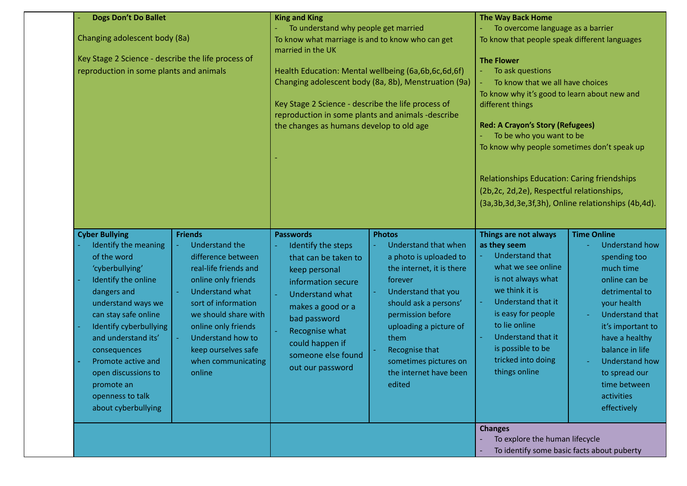| <b>Dogs Don't Do Ballet</b>                                                                                                                                                                                                                                                                                                                                                                                                                                                                                                                                                                                                             | <b>King and King</b>                                                                                                                                                                                                                                                                                                                                                                |                                                                                                                                                                                                                                                                                               | <b>The Way Back Home</b><br>To overcome language as a barrier                                                                                                                                                                                                                                                                                                                                                                |                                                                                                                                                                                                                                                                                                       |
|-----------------------------------------------------------------------------------------------------------------------------------------------------------------------------------------------------------------------------------------------------------------------------------------------------------------------------------------------------------------------------------------------------------------------------------------------------------------------------------------------------------------------------------------------------------------------------------------------------------------------------------------|-------------------------------------------------------------------------------------------------------------------------------------------------------------------------------------------------------------------------------------------------------------------------------------------------------------------------------------------------------------------------------------|-----------------------------------------------------------------------------------------------------------------------------------------------------------------------------------------------------------------------------------------------------------------------------------------------|------------------------------------------------------------------------------------------------------------------------------------------------------------------------------------------------------------------------------------------------------------------------------------------------------------------------------------------------------------------------------------------------------------------------------|-------------------------------------------------------------------------------------------------------------------------------------------------------------------------------------------------------------------------------------------------------------------------------------------------------|
| Changing adolescent body (8a)<br>Key Stage 2 Science - describe the life process of<br>reproduction in some plants and animals                                                                                                                                                                                                                                                                                                                                                                                                                                                                                                          | To understand why people get married<br>To know what marriage is and to know who can get<br>married in the UK<br>Health Education: Mental wellbeing (6a,6b,6c,6d,6f)<br>Changing adolescent body (8a, 8b), Menstruation (9a)<br>Key Stage 2 Science - describe the life process of<br>reproduction in some plants and animals -describe<br>the changes as humans develop to old age |                                                                                                                                                                                                                                                                                               | To know that people speak different languages<br><b>The Flower</b><br>To ask questions<br>To know that we all have choices<br>$\omega$<br>To know why it's good to learn about new and<br>different things<br><b>Red: A Crayon's Story (Refugees)</b><br>To be who you want to be<br>To know why people sometimes don't speak up<br>Relationships Education: Caring friendships<br>(2b,2c, 2d,2e), Respectful relationships, | (3a, 3b, 3d, 3e, 3f, 3h), Online relationships (4b, 4d).                                                                                                                                                                                                                                              |
| <b>Cyber Bullying</b><br><b>Friends</b><br>Identify the meaning<br><b>Understand the</b><br>of the word<br>difference between<br>real-life friends and<br>'cyberbullying'<br>online only friends<br>Identify the online<br>dangers and<br><b>Understand what</b><br>understand ways we<br>sort of information<br>can stay safe online<br>we should share with<br>Identify cyberbullying<br>online only friends<br>and understand its'<br>Understand how to<br>keep ourselves safe<br>consequences<br>Promote active and<br>when communicating<br>online<br>open discussions to<br>promote an<br>openness to talk<br>about cyberbullying | <b>Passwords</b><br>Identify the steps<br>that can be taken to<br>keep personal<br>information secure<br><b>Understand what</b><br>makes a good or a<br>bad password<br>Recognise what<br>could happen if<br>someone else found<br>out our password                                                                                                                                 | <b>Photos</b><br>Understand that when<br>a photo is uploaded to<br>the internet, it is there<br>forever<br>Understand that you<br>should ask a persons'<br>permission before<br>uploading a picture of<br>them<br>Recognise that<br>sometimes pictures on<br>the internet have been<br>edited | Things are not always<br>as they seem<br><b>Understand that</b><br>what we see online<br>is not always what<br>we think it is<br>Understand that it<br>is easy for people<br>to lie online<br>Understand that it<br>is possible to be<br>tricked into doing<br>things online                                                                                                                                                 | <b>Time Online</b><br><b>Understand how</b><br>spending too<br>much time<br>online can be<br>detrimental to<br>your health<br><b>Understand that</b><br>it's important to<br>have a healthy<br>balance in life<br><b>Understand how</b><br>to spread our<br>time between<br>activities<br>effectively |
|                                                                                                                                                                                                                                                                                                                                                                                                                                                                                                                                                                                                                                         |                                                                                                                                                                                                                                                                                                                                                                                     |                                                                                                                                                                                                                                                                                               | <b>Changes</b><br>To explore the human lifecycle                                                                                                                                                                                                                                                                                                                                                                             | To identify some basic facts about puberty                                                                                                                                                                                                                                                            |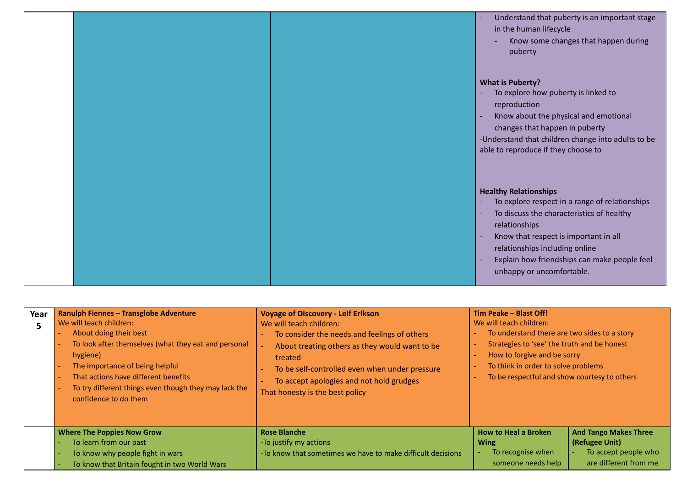|  | Understand that puberty is an important stage<br>÷,<br>in the human lifecycle<br>Know some changes that happen during<br>puberty                                                                                                                                                                                                                 |
|--|--------------------------------------------------------------------------------------------------------------------------------------------------------------------------------------------------------------------------------------------------------------------------------------------------------------------------------------------------|
|  | <b>What is Puberty?</b><br>To explore how puberty is linked to<br>reproduction<br>Know about the physical and emotional<br>changes that happen in puberty<br>-Understand that children change into adults to be<br>able to reproduce if they choose to                                                                                           |
|  | <b>Healthy Relationships</b><br>To explore respect in a range of relationships<br>Ē,<br>To discuss the characteristics of healthy<br>$\sim$<br>relationships<br>Know that respect is important in all<br>$\overline{\phantom{a}}$<br>relationships including online<br>Explain how friendships can make people feel<br>unhappy or uncomfortable. |

| Year | <b>Ranulph Fiennes - Transglobe Adventure</b><br>We will teach children:<br>About doing their best<br>To look after themselves (what they eat and personal<br>hygiene)<br>The importance of being helpful<br>That actions have different benefits<br>To try different things even though they may lack the<br>confidence to do them | <b>Voyage of Discovery - Leif Erikson</b><br>We will teach children:<br>To consider the needs and feelings of others<br>About treating others as they would want to be<br>treated<br>To be self-controlled even when under pressure<br>To accept apologies and not hold grudges<br>That honesty is the best policy | Tim Peake - Blast Off!<br>We will teach children:<br>To understand there are two sides to a story<br>Strategies to 'see' the truth and be honest<br>How to forgive and be sorry<br>To think in order to solve problems<br>To be respectful and show courtesy to others |                                                                                                 |
|------|-------------------------------------------------------------------------------------------------------------------------------------------------------------------------------------------------------------------------------------------------------------------------------------------------------------------------------------|--------------------------------------------------------------------------------------------------------------------------------------------------------------------------------------------------------------------------------------------------------------------------------------------------------------------|------------------------------------------------------------------------------------------------------------------------------------------------------------------------------------------------------------------------------------------------------------------------|-------------------------------------------------------------------------------------------------|
|      | <b>Where The Poppies Now Grow</b><br>To learn from our past<br>To know why people fight in wars<br>To know that Britain fought in two World Wars                                                                                                                                                                                    | <b>Rose Blanche</b><br>-To justify my actions<br>-To know that sometimes we have to make difficult decisions                                                                                                                                                                                                       | <b>How to Heal a Broken</b><br><b>Wing</b><br>To recognise when<br>someone needs help                                                                                                                                                                                  | <b>And Tango Makes Three</b><br>(Refugee Unit)<br>To accept people who<br>are different from me |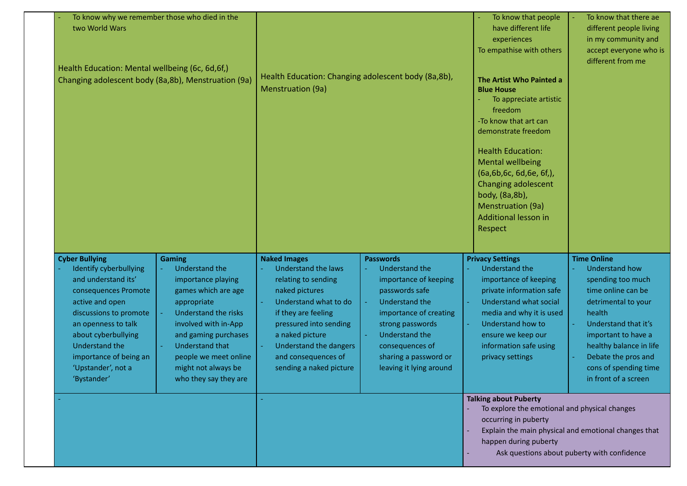| To know why we remember those who died in the<br>two World Wars<br>Health Education: Mental wellbeing (6c, 6d, 6f,)<br>Changing adolescent body (8a,8b), Menstruation (9a)                                                                                                                          | <b>Menstruation (9a)</b>                                                                                                                                                                                                                                                                                                                                                                                                                                                                                      | Health Education: Changing adolescent body (8a,8b),                                                                                                                                                                                                  | To know that people<br>have different life<br>experiences<br>To empathise with others<br>The Artist Who Painted a<br><b>Blue House</b><br>To appreciate artistic<br>freedom<br>-To know that art can<br>demonstrate freedom<br><b>Health Education:</b><br><b>Mental wellbeing</b><br>(6a,6b,6c, 6d,6e, 6f,),<br><b>Changing adolescent</b><br>body, (8a,8b),<br>Menstruation (9a)<br>Additional lesson in<br>Respect | To know that there ae<br>different people living<br>in my community and<br>accept everyone who is<br>different from me                                                                                                                                                                                                                                                           |
|-----------------------------------------------------------------------------------------------------------------------------------------------------------------------------------------------------------------------------------------------------------------------------------------------------|---------------------------------------------------------------------------------------------------------------------------------------------------------------------------------------------------------------------------------------------------------------------------------------------------------------------------------------------------------------------------------------------------------------------------------------------------------------------------------------------------------------|------------------------------------------------------------------------------------------------------------------------------------------------------------------------------------------------------------------------------------------------------|-----------------------------------------------------------------------------------------------------------------------------------------------------------------------------------------------------------------------------------------------------------------------------------------------------------------------------------------------------------------------------------------------------------------------|----------------------------------------------------------------------------------------------------------------------------------------------------------------------------------------------------------------------------------------------------------------------------------------------------------------------------------------------------------------------------------|
| <b>Cyber Bullying</b><br>Gaming<br>Identify cyberbullying<br>and understand its'<br>consequences Promote<br>active and open<br>appropriate<br>discussions to promote<br>an openness to talk<br>about cyberbullying<br>Understand the<br>importance of being an<br>'Upstander', not a<br>'Bystander' | <b>Naked Images</b><br><b>Understand the</b><br>Understand the laws<br>importance playing<br>relating to sending<br>games which are age<br>naked pictures<br>Understand what to do<br>Understand the risks<br>if they are feeling<br>involved with in-App<br>pressured into sending<br>and gaming purchases<br>a naked picture<br><b>Understand that</b><br>Understand the dangers<br>and consequences of<br>people we meet online<br>sending a naked picture<br>might not always be<br>who they say they are | <b>Passwords</b><br>Understand the<br>importance of keeping<br>passwords safe<br><b>Understand the</b><br>importance of creating<br>strong passwords<br><b>Understand the</b><br>consequences of<br>sharing a password or<br>leaving it lying around | <b>Privacy Settings</b><br><b>Understand the</b><br>importance of keeping<br>private information safe<br>Understand what social<br>media and why it is used<br><b>Understand how to</b><br>ensure we keep our<br>information safe using<br>privacy settings<br><b>Talking about Puberty</b><br>To explore the emotional and physical changes<br>occurring in puberty<br>happen during puberty                         | <b>Time Online</b><br><b>Understand how</b><br>spending too much<br>time online can be<br>detrimental to your<br>health<br>Understand that it's<br>important to have a<br>healthy balance in life<br>Debate the pros and<br>cons of spending time<br>in front of a screen<br>Explain the main physical and emotional changes that<br>Ask questions about puberty with confidence |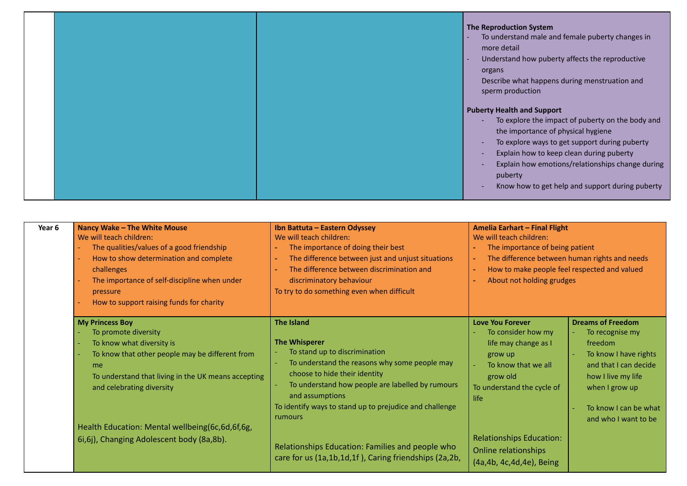|  | The Reproduction System<br>To understand male and female puberty changes in<br>more detail<br>Understand how puberty affects the reproductive<br>٠<br>organs<br>Describe what happens during menstruation and<br>sperm production                                                                                                          |
|--|--------------------------------------------------------------------------------------------------------------------------------------------------------------------------------------------------------------------------------------------------------------------------------------------------------------------------------------------|
|  | <b>Puberty Health and Support</b><br>To explore the impact of puberty on the body and<br>the importance of physical hygiene<br>To explore ways to get support during puberty<br>Explain how to keep clean during puberty<br>Explain how emotions/relationships change during<br>puberty<br>Know how to get help and support during puberty |

| Year 6 | Nancy Wake - The White Mouse<br>We will teach children:<br>The qualities/values of a good friendship<br>How to show determination and complete<br>challenges<br>The importance of self-discipline when under<br>pressure<br>How to support raising funds for charity | Ibn Battuta - Eastern Odyssey<br>We will teach children:<br>The importance of doing their best<br>The difference between just and unjust situations<br>The difference between discrimination and<br>discriminatory behaviour<br>To try to do something even when difficult                                | Amelia Earhart - Final Flight<br>We will teach children:<br>The importance of being patient<br>The difference between human rights and needs<br>$\blacksquare$<br>How to make people feel respected and valued<br>$\blacksquare$<br>About not holding grudges |                                                                                                                                                                                                   |
|--------|----------------------------------------------------------------------------------------------------------------------------------------------------------------------------------------------------------------------------------------------------------------------|-----------------------------------------------------------------------------------------------------------------------------------------------------------------------------------------------------------------------------------------------------------------------------------------------------------|---------------------------------------------------------------------------------------------------------------------------------------------------------------------------------------------------------------------------------------------------------------|---------------------------------------------------------------------------------------------------------------------------------------------------------------------------------------------------|
|        | <b>My Princess Boy</b><br>To promote diversity<br>To know what diversity is<br>÷,<br>To know that other people may be different from<br>me<br>To understand that living in the UK means accepting<br>and celebrating diversity                                       | <b>The Island</b><br><b>The Whisperer</b><br>To stand up to discrimination<br>To understand the reasons why some people may<br>choose to hide their identity<br>To understand how people are labelled by rumours<br>and assumptions<br>To identify ways to stand up to prejudice and challenge<br>rumours | <b>Love You Forever</b><br>To consider how my<br>life may change as I<br>grow up<br>To know that we all<br>grow old<br>To understand the cycle of<br>life                                                                                                     | <b>Dreams of Freedom</b><br>To recognise my<br>freedom<br>To know I have rights<br>and that I can decide<br>how I live my life<br>when I grow up<br>To know I can be what<br>and who I want to be |
|        | Health Education: Mental wellbeing(6c,6d,6f,6g,<br>6i, 6j), Changing Adolescent body (8a, 8b).                                                                                                                                                                       | Relationships Education: Families and people who<br>care for us (1a,1b,1d,1f), Caring friendships (2a,2b,                                                                                                                                                                                                 | <b>Relationships Education:</b><br>Online relationships<br>(4a, 4b, 4c, 4d, 4e), Being                                                                                                                                                                        |                                                                                                                                                                                                   |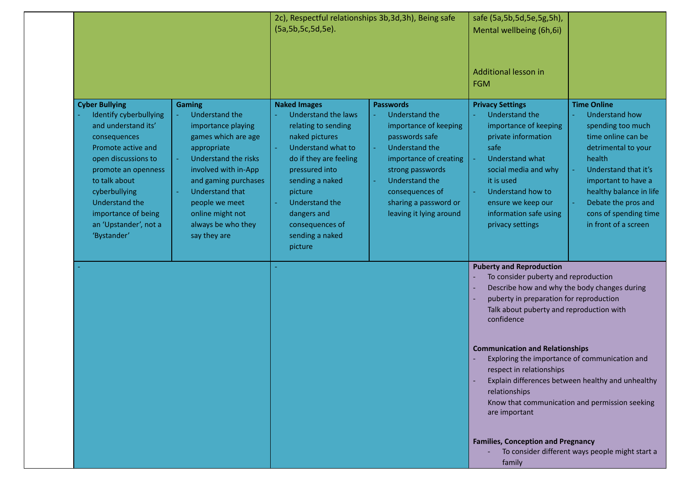|                                                                                                                                                                                                                                                                               |                                                                                                                                                                                                                                                                                         | 2c), Respectful relationships 3b, 3d, 3h), Being safe<br>(5a, 5b, 5c, 5d, 5e).                                                                                                                                                                                               |                                                                                                                                                                                                                                                             | safe (5a,5b,5d,5e,5g,5h),<br>Mental wellbeing (6h,6i)<br>Additional lesson in<br><b>FGM</b>                                                                                                                                                                                                                                                                                                 |                                                                                                                                                                                                                                                                           |
|-------------------------------------------------------------------------------------------------------------------------------------------------------------------------------------------------------------------------------------------------------------------------------|-----------------------------------------------------------------------------------------------------------------------------------------------------------------------------------------------------------------------------------------------------------------------------------------|------------------------------------------------------------------------------------------------------------------------------------------------------------------------------------------------------------------------------------------------------------------------------|-------------------------------------------------------------------------------------------------------------------------------------------------------------------------------------------------------------------------------------------------------------|---------------------------------------------------------------------------------------------------------------------------------------------------------------------------------------------------------------------------------------------------------------------------------------------------------------------------------------------------------------------------------------------|---------------------------------------------------------------------------------------------------------------------------------------------------------------------------------------------------------------------------------------------------------------------------|
| <b>Cyber Bullying</b><br>Identify cyberbullying<br>and understand its'<br>consequences<br>Promote active and<br>open discussions to<br>promote an openness<br>to talk about<br>cyberbullying<br>Understand the<br>importance of being<br>an 'Upstander', not a<br>'Bystander' | <b>Gaming</b><br><b>Understand the</b><br>importance playing<br>games which are age<br>appropriate<br><b>Understand the risks</b><br>involved with in-App<br>and gaming purchases<br><b>Understand that</b><br>people we meet<br>online might not<br>always be who they<br>say they are | <b>Naked Images</b><br><b>Understand the laws</b><br>relating to sending<br>naked pictures<br>Understand what to<br>do if they are feeling<br>pressured into<br>sending a naked<br>picture<br>Understand the<br>dangers and<br>consequences of<br>sending a naked<br>picture | <b>Passwords</b><br><b>Understand the</b><br>importance of keeping<br>passwords safe<br><b>Understand the</b><br>importance of creating<br>strong passwords<br><b>Understand the</b><br>consequences of<br>sharing a password or<br>leaving it lying around | <b>Privacy Settings</b><br>Understand the<br>importance of keeping<br>private information<br>safe<br><b>Understand what</b><br>social media and why<br>it is used<br>Understand how to<br>ensure we keep our<br>information safe using<br>privacy settings                                                                                                                                  | <b>Time Online</b><br><b>Understand how</b><br>spending too much<br>time online can be<br>detrimental to your<br>health<br>Understand that it's<br>important to have a<br>healthy balance in life<br>Debate the pros and<br>cons of spending time<br>in front of a screen |
|                                                                                                                                                                                                                                                                               |                                                                                                                                                                                                                                                                                         |                                                                                                                                                                                                                                                                              |                                                                                                                                                                                                                                                             | <b>Puberty and Reproduction</b><br>To consider puberty and reproduction<br>Describe how and why the body changes during<br>puberty in preparation for reproduction<br>Talk about puberty and reproduction with<br>confidence<br><b>Communication and Relationships</b><br>respect in relationships<br>relationships<br>are important<br><b>Families, Conception and Pregnancy</b><br>family | Exploring the importance of communication and<br>Explain differences between healthy and unhealthy<br>Know that communication and permission seeking<br>To consider different ways people might start a                                                                   |